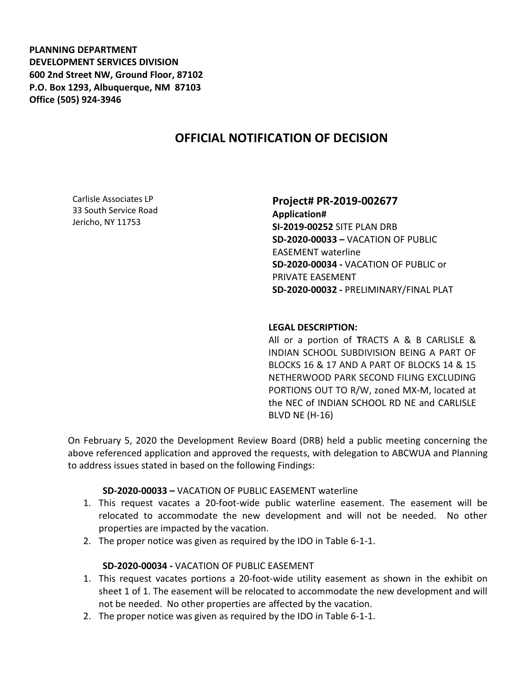**PLANNING DEPARTMENT DEVELOPMENT SERVICES DIVISION 600 2nd Street NW, Ground Floor, 87102 P.O. Box 1293, Albuquerque, NM 87103 Office (505) 924-3946** 

# **OFFICIAL NOTIFICATION OF DECISION**

Carlisle Associates LP 33 South Service Road Jericho, NY 11753

## **Project# PR-2019-002677**

**Application# SI-2019-00252** SITE PLAN DRB **SD-2020-00033 –** VACATION OF PUBLIC EASEMENT waterline **SD-2020-00034 -** VACATION OF PUBLIC or PRIVATE EASEMENT **SD-2020-00032 -** PRELIMINARY/FINAL PLAT

#### **LEGAL DESCRIPTION:**

All or a portion of **T**RACTS A & B CARLISLE & INDIAN SCHOOL SUBDIVISION BEING A PART OF BLOCKS 16 & 17 AND A PART OF BLOCKS 14 & 15 NETHERWOOD PARK SECOND FILING EXCLUDING PORTIONS OUT TO R/W, zoned MX-M, located at the NEC of INDIAN SCHOOL RD NE and CARLISLE BLVD NE (H-16)

On February 5, 2020 the Development Review Board (DRB) held a public meeting concerning the above referenced application and approved the requests, with delegation to ABCWUA and Planning to address issues stated in based on the following Findings:

#### **SD-2020-00033 –** VACATION OF PUBLIC EASEMENT waterline

- 1. This request vacates a 20-foot-wide public waterline easement. The easement will be relocated to accommodate the new development and will not be needed. No other properties are impacted by the vacation.
- 2. The proper notice was given as required by the IDO in Table 6-1-1.

### **SD-2020-00034 -** VACATION OF PUBLIC EASEMENT

- 1. This request vacates portions a 20-foot-wide utility easement as shown in the exhibit on sheet 1 of 1. The easement will be relocated to accommodate the new development and will not be needed. No other properties are affected by the vacation.
- 2. The proper notice was given as required by the IDO in Table 6-1-1.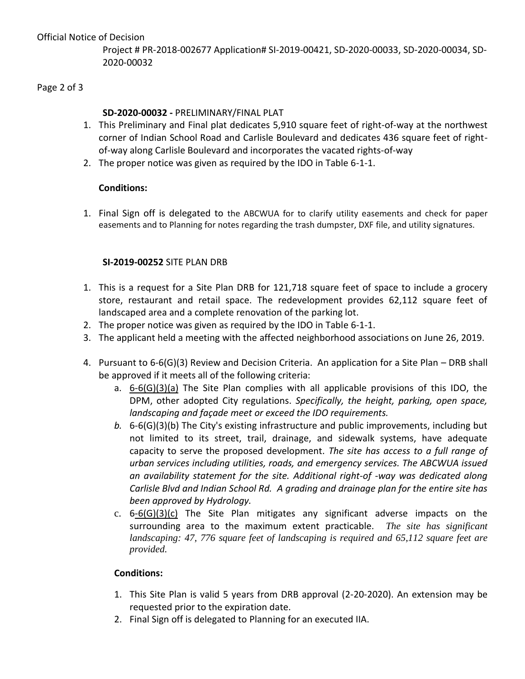Project # PR-2018-002677 Application# SI-2019-00421, SD-2020-00033, SD-2020-00034, SD-2020-00032

#### Page 2 of 3

### **SD-2020-00032 -** PRELIMINARY/FINAL PLAT

- 1. This Preliminary and Final plat dedicates 5,910 square feet of right-of-way at the northwest corner of Indian School Road and Carlisle Boulevard and dedicates 436 square feet of rightof-way along Carlisle Boulevard and incorporates the vacated rights-of-way
- 2. The proper notice was given as required by the IDO in Table 6-1-1.

### **Conditions:**

1. Final Sign off is delegated to the ABCWUA for to clarify utility easements and check for paper easements and to Planning for notes regarding the trash dumpster, DXF file, and utility signatures.

#### **SI-2019-00252** SITE PLAN DRB

- 1. This is a request for a Site Plan DRB for 121,718 square feet of space to include a grocery store, restaurant and retail space. The redevelopment provides 62,112 square feet of landscaped area and a complete renovation of the parking lot.
- 2. The proper notice was given as required by the IDO in Table 6-1-1.
- 3. The applicant held a meeting with the affected neighborhood associations on June 26, 2019.
- 4. Pursuant to 6-6(G)(3) Review and Decision Criteria. An application for a Site Plan DRB shall be approved if it meets all of the following criteria:
	- a. 6-6(G)(3)(a) The Site Plan complies with all applicable provisions of this IDO, the DPM, other adopted City regulations. *Specifically, the height, parking, open space, landscaping and façade meet or exceed the IDO requirements.*
	- *b.* 6-6(G)(3)(b) The City's existing infrastructure and public improvements, including but not limited to its street, trail, drainage, and sidewalk systems, have adequate capacity to serve the proposed development. *The site has access to a full range of urban services including utilities, roads, and emergency services. The ABCWUA issued an availability statement for the site. Additional right-of -way was dedicated along Carlisle Blvd and Indian School Rd. A grading and drainage plan for the entire site has been approved by Hydrology.*
	- c.  $6-6(G)(3)(c)$  The Site Plan mitigates any significant adverse impacts on the surrounding area to the maximum extent practicable. *The site has significant landscaping: 47, 776 square feet of landscaping is required and 65,112 square feet are provided.*

### **Conditions:**

- 1. This Site Plan is valid 5 years from DRB approval (2-20-2020). An extension may be requested prior to the expiration date.
- 2. Final Sign off is delegated to Planning for an executed IIA.